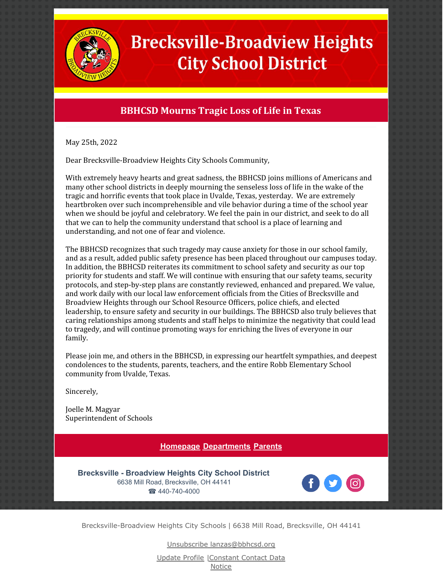

## **Brecksville-Broadview Heights City School District**

## **BBHCSD Mourns Tragic Loss of Life in Texas**

May 25th, 2022

Dear Brecksville-Broadview Heights City Schools Community,

With extremely heavy hearts and great sadness, the BBHCSD joins millions of Americans and many other school districts in deeply mourning the senseless loss of life in the wake of the tragic and horrific events that took place in Uvalde, Texas, yesterday. We are extremely heartbroken over such incomprehensible and vile behavior during a time of the school year when we should be joyful and celebratory. We feel the pain in our district, and seek to do all that we can to help the community understand that school is a place of learning and understanding, and not one of fear and violence.

The BBHCSD recognizes that such tragedy may cause anxiety for those in our school family, and as a result, added public safety presence has been placed throughout our campuses today. In addition, the BBHCSD reiterates its commitment to school safety and security as our top priority for students and staff. We will continue with ensuring that our safety teams, security protocols, and step-by-step plans are constantly reviewed, enhanced and prepared. We value, and work daily with our local law enforcement officials from the Cities of Brecksville and Broadview Heights through our School Resource Officers, police chiefs, and elected leadership, to ensure safety and security in our buildings. The BBHCSD also truly believes that caring relationships among students and staff helps to minimize the negativity that could lead to tragedy, and will continue promoting ways for enriching the lives of everyone in our family.

Please join me, and others in the BBHCSD, in expressing our heartfelt sympathies, and deepest condolences to the students, parents, teachers, and the entire Robb Elementary School community from Uvalde, Texas.

Sincerely,

Joelle M. Magyar Superintendent of Schools

## **[Homepage](http://www.bbhcsd.org/) [Departments](http://www.bbhcsd.org/Departments.aspx) [Parents](http://www.bbhcsd.org/Parents.aspx)**

**Brecksville - Broadview Heights City School District** 6638 Mill Road, Brecksville, OH 44141 ☎ 440-740-4000



Brecksville-Broadview Heights City Schools | 6638 Mill Road, Brecksville, OH 44141

Unsubscribe lanzas@bbhcsd.org

Update Profile [|Constant](https://www.constantcontact.com/legal/customer-contact-data-notice) Contact Data Notice